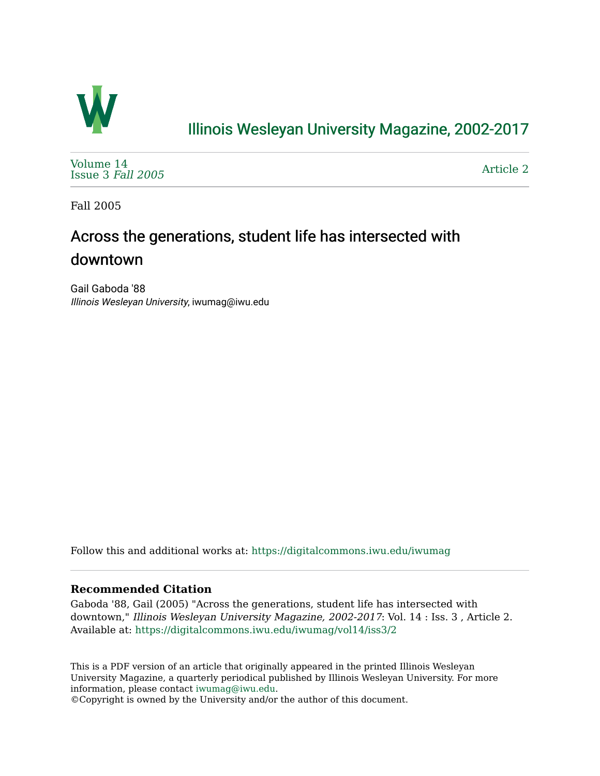

## [Illinois Wesleyan University Magazine, 2002-2017](https://digitalcommons.iwu.edu/iwumag)

[Volume 14](https://digitalcommons.iwu.edu/iwumag/vol14)  [Issue 3](https://digitalcommons.iwu.edu/iwumag/vol14/iss3) Fall 2005

[Article 2](https://digitalcommons.iwu.edu/iwumag/vol14/iss3/2) 

Fall 2005

# Across the generations, student life has intersected with downtown

Gail Gaboda '88 Illinois Wesleyan University, iwumag@iwu.edu

Follow this and additional works at: [https://digitalcommons.iwu.edu/iwumag](https://digitalcommons.iwu.edu/iwumag?utm_source=digitalcommons.iwu.edu%2Fiwumag%2Fvol14%2Fiss3%2F2&utm_medium=PDF&utm_campaign=PDFCoverPages) 

#### **Recommended Citation**

Gaboda '88, Gail (2005) "Across the generations, student life has intersected with downtown," Illinois Wesleyan University Magazine, 2002-2017: Vol. 14 : Iss. 3 , Article 2. Available at: [https://digitalcommons.iwu.edu/iwumag/vol14/iss3/2](https://digitalcommons.iwu.edu/iwumag/vol14/iss3/2?utm_source=digitalcommons.iwu.edu%2Fiwumag%2Fvol14%2Fiss3%2F2&utm_medium=PDF&utm_campaign=PDFCoverPages)

This is a PDF version of an article that originally appeared in the printed Illinois Wesleyan University Magazine, a quarterly periodical published by Illinois Wesleyan University. For more information, please contact [iwumag@iwu.edu](mailto:iwumag@iwu.edu).

©Copyright is owned by the University and/or the author of this document.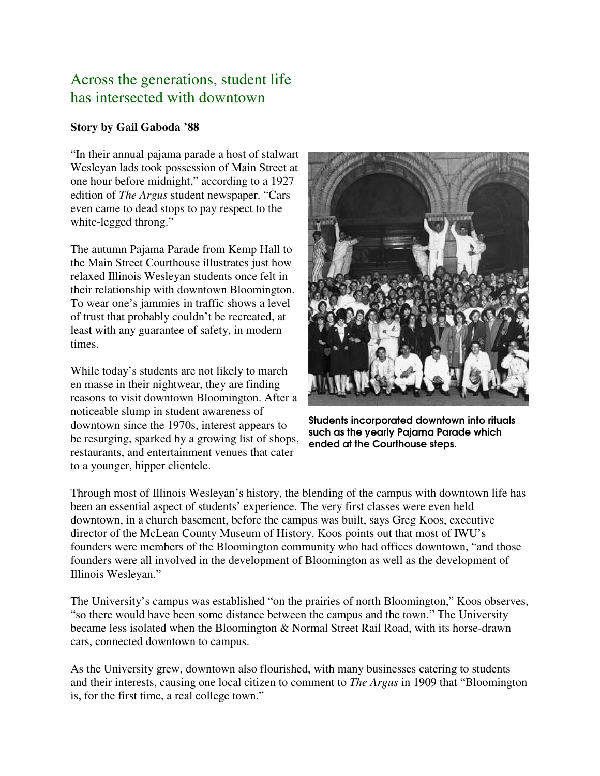### Across the generations, student life has intersected with downtown

#### **Story by Gail Gaboda '88**

"In their annual pajama parade a host of stalwart Wesleyan lads took possession of Main Street at one hour before midnight," according to a 1927 edition of *The Argus* student newspaper. "Cars even came to dead stops to pay respect to the white-legged throng."

The autumn Pajama Parade from Kemp Hall to the Main Street Courthouse illustrates just how relaxed Illinois Wesleyan students once felt in their relationship with downtown Bloomington. To wear one's jammies in traffic shows a level of trust that probably couldn't be recreated, at least with any guarantee of safety, in modern times.

While today's students are not likely to march en masse in their nightwear, they are finding reasons to visit downtown Bloomington. After a noticeable slump in student awareness of downtown since the 1970s, interest appears to be resurging, sparked by a growing list of shops, restaurants, and entertainment venues that cater to a younger, hipper clientele.



Students incorporated downtown into rituals such as the yearly Pajama Parade which ended at the Courthouse steps.

Through most of Illinois Wesleyan's history, the blending of the campus with downtown life has been an essential aspect of students' experience. The very first classes were even held downtown, in a church basement, before the campus was built, says Greg Koos, executive director of the McLean County Museum of History. Koos points out that most of IWU's founders were members of the Bloomington community who had offices downtown, "and those founders were all involved in the development of Bloomington as well as the development of Illinois Wesleyan."

The University's campus was established "on the prairies of north Bloomington," Koos observes, "so there would have been some distance between the campus and the town." The University became less isolated when the Bloomington & Normal Street Rail Road, with its horse-drawn cars, connected downtown to campus.

As the University grew, downtown also flourished, with many businesses catering to students and their interests, causing one local citizen to comment to *The Argus* in 1909 that "Bloomington is, for the first time, a real college town."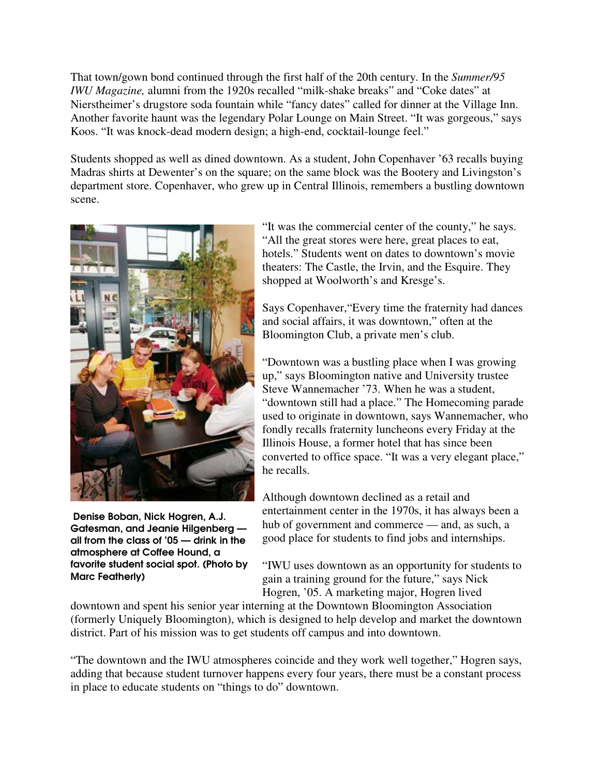That town/gown bond continued through the first half of the 20th century. In the *Summer/95 IWU Magazine,* alumni from the 1920s recalled "milk-shake breaks" and "Coke dates" at Nierstheimer's drugstore soda fountain while "fancy dates" called for dinner at the Village Inn. Another favorite haunt was the legendary Polar Lounge on Main Street. "It was gorgeous," says Koos. "It was knock-dead modern design; a high-end, cocktail-lounge feel."

Students shopped as well as dined downtown. As a student, John Copenhaver '63 recalls buying Madras shirts at Dewenter's on the square; on the same block was the Bootery and Livingston's department store. Copenhaver, who grew up in Central Illinois, remembers a bustling downtown scene.



 Denise Boban, Nick Hogren, A.J. Gatesman, and Jeanie Hilgenberg all from the class of '05 — drink in the atmosphere at Coffee Hound, a favorite student social spot. (Photo by Marc Featherly)

"It was the commercial center of the county," he says. "All the great stores were here, great places to eat, hotels." Students went on dates to downtown's movie theaters: The Castle, the Irvin, and the Esquire. They shopped at Woolworth's and Kresge's.

Says Copenhaver,"Every time the fraternity had dances and social affairs, it was downtown," often at the Bloomington Club, a private men's club.

"Downtown was a bustling place when I was growing up," says Bloomington native and University trustee Steve Wannemacher '73. When he was a student, "downtown still had a place." The Homecoming parade used to originate in downtown, says Wannemacher, who fondly recalls fraternity luncheons every Friday at the Illinois House, a former hotel that has since been converted to office space. "It was a very elegant place," he recalls.

Although downtown declined as a retail and entertainment center in the 1970s, it has always been a hub of government and commerce — and, as such, a good place for students to find jobs and internships.

"IWU uses downtown as an opportunity for students to gain a training ground for the future," says Nick Hogren, '05. A marketing major, Hogren lived

downtown and spent his senior year interning at the Downtown Bloomington Association (formerly Uniquely Bloomington), which is designed to help develop and market the downtown district. Part of his mission was to get students off campus and into downtown.

"The downtown and the IWU atmospheres coincide and they work well together," Hogren says, adding that because student turnover happens every four years, there must be a constant process in place to educate students on "things to do" downtown.